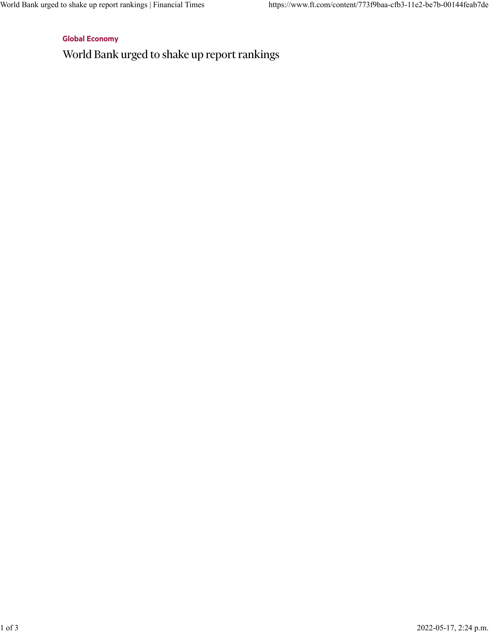[Global Economy](https://www.ft.com/global-economy)

World Bank urged to shake up report rankings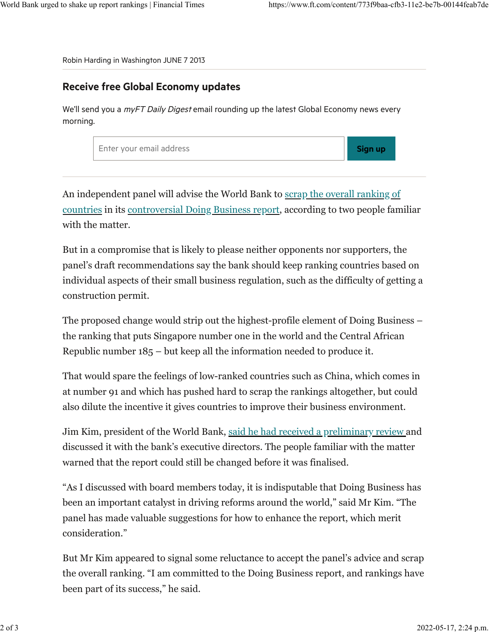Robin Harding in Washington JUNE 7 2013

## Receive free Global Economy updates

We'll send you a *myFT Daily Digest* email rounding up the latest Global Economy news every morning.

| Enter your email address | <b>Sign up</b> |
|--------------------------|----------------|
|--------------------------|----------------|

An independent panel will advise the World Bank to [scrap the overall ranking of](https://www.ft.com/content/a1ca36d2-b654-11e2-b1e5-00144feabdc0) [countries](https://www.ft.com/content/a1ca36d2-b654-11e2-b1e5-00144feabdc0) in its [controversial Doing Business report,](http://www.doingbusiness.org/rankings) according to two people familiar with the matter.

But in a compromise that is likely to please neither opponents nor supporters, the panel's draft recommendations say the bank should keep ranking countries based on individual aspects of their small business regulation, such as the difficulty of getting a construction permit.

The proposed change would strip out the highest-profile element of Doing Business – the ranking that puts Singapore number one in the world and the Central African Republic number 185 – but keep all the information needed to produce it.

That would spare the feelings of low-ranked countries such as China, which comes in at number 91 and which has pushed hard to scrap the rankings altogether, but could also dilute the incentive it gives countries to improve their business environment.

Jim Kim, president of the World Bank, [said he had received a preliminary review a](http://www.worldbank.org/en/news/press-release/2013/06/07/world-bank-president-jim-yong-kim-statement-on-the-independent-panel-review-of-doing-business)nd discussed it with the bank's executive directors. The people familiar with the matter warned that the report could still be changed before it was finalised.

"As I discussed with board members today, it is indisputable that Doing Business has been an important catalyst in driving reforms around the world," said Mr Kim. "The panel has made valuable suggestions for how to enhance the report, which merit consideration."

But Mr Kim appeared to signal some reluctance to accept the panel's advice and scrap the overall ranking. "I am committed to the Doing Business report, and rankings have been part of its success," he said.